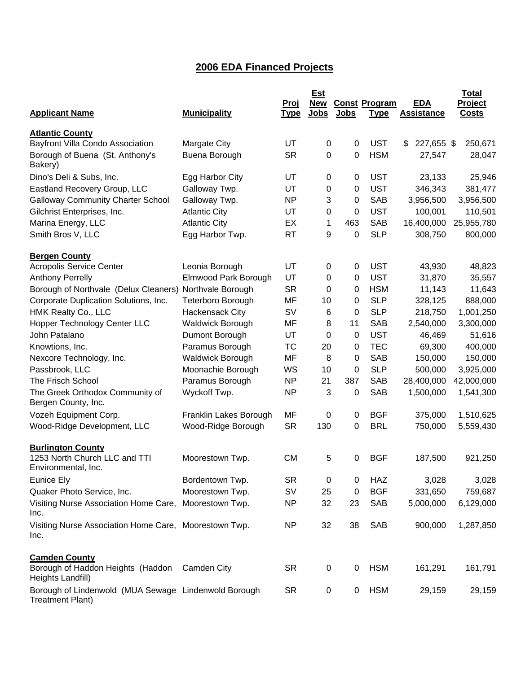# **2006 EDA Financed Projects**

|                                                                                 |                         | <u>Proj</u> | <b>Est</b><br><b>New</b> |             | <b>Const Program</b> | <b>EDA</b>        | <b>Total</b><br>Project |
|---------------------------------------------------------------------------------|-------------------------|-------------|--------------------------|-------------|----------------------|-------------------|-------------------------|
| <b>Applicant Name</b>                                                           | <b>Municipality</b>     | <u>Type</u> | <b>Jobs</b>              | <b>Jobs</b> | <b>Type</b>          | <b>Assistance</b> | <b>Costs</b>            |
| <b>Atlantic County</b>                                                          |                         |             |                          |             |                      |                   |                         |
| Bayfront Villa Condo Association                                                | Margate City            | UT          | $\mathbf 0$              | $\pmb{0}$   | <b>UST</b>           | 227,655 \$<br>\$  | 250,671                 |
| Borough of Buena (St. Anthony's<br>Bakery)                                      | Buena Borough           | <b>SR</b>   | 0                        | 0           | <b>HSM</b>           | 27,547            | 28,047                  |
| Dino's Deli & Subs, Inc.                                                        | Egg Harbor City         | UT          | 0                        | 0           | <b>UST</b>           | 23,133            | 25,946                  |
| Eastland Recovery Group, LLC                                                    | Galloway Twp.           | UT          | 0                        | 0           | <b>UST</b>           | 346,343           | 381,477                 |
| <b>Galloway Community Charter School</b>                                        | Galloway Twp.           | <b>NP</b>   | 3                        | 0           | <b>SAB</b>           | 3,956,500         | 3,956,500               |
| Gilchrist Enterprises, Inc.                                                     | <b>Atlantic City</b>    | UT          | 0                        | 0           | <b>UST</b>           | 100,001           | 110,501                 |
| Marina Energy, LLC                                                              | <b>Atlantic City</b>    | EX          | 1                        | 463         | <b>SAB</b>           | 16,400,000        | 25,955,780              |
| Smith Bros V, LLC                                                               | Egg Harbor Twp.         | <b>RT</b>   | 9                        | 0           | <b>SLP</b>           | 308,750           | 800,000                 |
| <b>Bergen County</b>                                                            |                         |             |                          |             |                      |                   |                         |
| <b>Acropolis Service Center</b>                                                 | Leonia Borough          | UT          | 0                        | $\pmb{0}$   | <b>UST</b>           | 43,930            | 48,823                  |
| <b>Anthony Perrelly</b>                                                         | Elmwood Park Borough    | UT          | 0                        | 0           | <b>UST</b>           | 31,870            | 35,557                  |
| Borough of Northvale (Delux Cleaners)                                           | Northvale Borough       | <b>SR</b>   | 0                        | 0           | <b>HSM</b>           | 11,143            | 11,643                  |
| Corporate Duplication Solutions, Inc.                                           | Teterboro Borough       | MF          | 10                       | 0           | <b>SLP</b>           | 328,125           | 888,000                 |
| HMK Realty Co., LLC                                                             | <b>Hackensack City</b>  | SV          | 6                        | 0           | <b>SLP</b>           | 218,750           | 1,001,250               |
| Hopper Technology Center LLC                                                    | <b>Waldwick Borough</b> | MF          | 8                        | 11          | <b>SAB</b>           | 2,540,000         | 3,300,000               |
| John Patalano                                                                   | Dumont Borough          | UT          | 0                        | 0           | <b>UST</b>           | 46,469            | 51,616                  |
| Knowtions, Inc.                                                                 | Paramus Borough         | <b>TC</b>   | 20                       | 0           | <b>TEC</b>           | 69,300            | 400,000                 |
| Nexcore Technology, Inc.                                                        | <b>Waldwick Borough</b> | MF          | 8                        | 0           | <b>SAB</b>           | 150,000           | 150,000                 |
| Passbrook, LLC                                                                  | Moonachie Borough       | WS          | 10                       | 0           | <b>SLP</b>           | 500,000           | 3,925,000               |
| The Frisch School                                                               | Paramus Borough         | <b>NP</b>   | 21                       | 387         | <b>SAB</b>           | 28,400,000        | 42,000,000              |
| The Greek Orthodox Community of<br>Bergen County, Inc.                          | Wyckoff Twp.            | <b>NP</b>   | 3                        | 0           | <b>SAB</b>           | 1,500,000         | 1,541,300               |
| Vozeh Equipment Corp.                                                           | Franklin Lakes Borough  | MF          | 0                        | 0           | <b>BGF</b>           | 375,000           | 1,510,625               |
| Wood-Ridge Development, LLC                                                     | Wood-Ridge Borough      | <b>SR</b>   | 130                      | 0           | <b>BRL</b>           | 750,000           | 5,559,430               |
| <b>Burlington County</b>                                                        |                         |             |                          |             |                      |                   |                         |
| 1253 North Church LLC and TTI<br>Environmental, Inc.                            | Moorestown Twp.         | <b>CM</b>   | 5                        | 0           | <b>BGF</b>           | 187,500           | 921,250                 |
| Eunice Ely                                                                      | Bordentown Twp.         | <b>SR</b>   | 0                        | 0           | <b>HAZ</b>           | 3,028             | 3,028                   |
| Quaker Photo Service, Inc.                                                      | Moorestown Twp.         | SV          | 25                       | 0           | <b>BGF</b>           | 331,650           | 759,687                 |
| Visiting Nurse Association Home Care,<br>Inc.                                   | Moorestown Twp.         | <b>NP</b>   | 32                       | 23          | SAB                  | 5,000,000         | 6,129,000               |
| Visiting Nurse Association Home Care, Moorestown Twp.<br>Inc.                   |                         | <b>NP</b>   | 32                       | 38          | SAB                  | 900,000           | 1,287,850               |
| <b>Camden County</b><br>Borough of Haddon Heights (Haddon<br>Heights Landfill)  | Camden City             | <b>SR</b>   | 0                        | $\pmb{0}$   | <b>HSM</b>           | 161,291           | 161,791                 |
| Borough of Lindenwold (MUA Sewage Lindenwold Borough<br><b>Treatment Plant)</b> |                         | <b>SR</b>   | 0                        | 0           | <b>HSM</b>           | 29,159            | 29,159                  |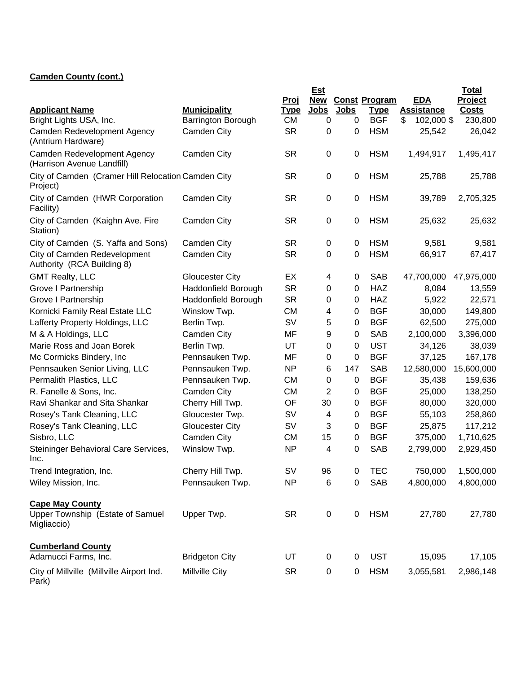## **Camden County (cont.)**

|                                                                           |                           |                          | Est                       |             |                           |                                 | <b>Total</b>            |
|---------------------------------------------------------------------------|---------------------------|--------------------------|---------------------------|-------------|---------------------------|---------------------------------|-------------------------|
| <b>Applicant Name</b>                                                     | <b>Municipality</b>       | Proj                     | <b>New</b><br><b>Jobs</b> | <b>Jobs</b> | <b>Const Program</b>      | <b>EDA</b><br><b>Assistance</b> | Project<br><b>Costs</b> |
| Bright Lights USA, Inc.                                                   | <b>Barrington Borough</b> | <u>Type</u><br><b>CM</b> | 0                         | 0           | <b>Type</b><br><b>BGF</b> | \$<br>102,000 \$                | 230,800                 |
| Camden Redevelopment Agency                                               | Camden City               | <b>SR</b>                | 0                         | 0           | <b>HSM</b>                | 25,542                          | 26,042                  |
| (Antrium Hardware)                                                        |                           |                          |                           |             |                           |                                 |                         |
| Camden Redevelopment Agency<br>(Harrison Avenue Landfill)                 | <b>Camden City</b>        | <b>SR</b>                | 0                         | 0           | <b>HSM</b>                | 1,494,917                       | 1,495,417               |
| City of Camden (Cramer Hill Relocation Camden City<br>Project)            |                           | <b>SR</b>                | 0                         | $\mathbf 0$ | <b>HSM</b>                | 25,788                          | 25,788                  |
| City of Camden (HWR Corporation<br>Facility)                              | <b>Camden City</b>        | <b>SR</b>                | 0                         | 0           | <b>HSM</b>                | 39,789                          | 2,705,325               |
| City of Camden (Kaighn Ave. Fire<br>Station)                              | <b>Camden City</b>        | <b>SR</b>                | 0                         | $\mathbf 0$ | <b>HSM</b>                | 25,632                          | 25,632                  |
| City of Camden (S. Yaffa and Sons)                                        | <b>Camden City</b>        | <b>SR</b>                | 0                         | 0           | <b>HSM</b>                | 9,581                           | 9,581                   |
| City of Camden Redevelopment<br>Authority (RCA Building 8)                | Camden City               | <b>SR</b>                | 0                         | 0           | <b>HSM</b>                | 66,917                          | 67,417                  |
| <b>GMT Realty, LLC</b>                                                    | <b>Gloucester City</b>    | EX                       | 4                         | 0           | <b>SAB</b>                | 47,700,000                      | 47,975,000              |
| <b>Grove I Partnership</b>                                                | Haddonfield Borough       | <b>SR</b>                | 0                         | 0           | <b>HAZ</b>                | 8,084                           | 13,559                  |
| <b>Grove I Partnership</b>                                                | Haddonfield Borough       | <b>SR</b>                | 0                         | 0           | <b>HAZ</b>                | 5,922                           | 22,571                  |
| Kornicki Family Real Estate LLC                                           | Winslow Twp.              | <b>CM</b>                | 4                         | 0           | <b>BGF</b>                | 30,000                          | 149,800                 |
| Lafferty Property Holdings, LLC                                           | Berlin Twp.               | SV                       | 5                         | 0           | <b>BGF</b>                | 62,500                          | 275,000                 |
| M & A Holdings, LLC                                                       | Camden City               | MF                       | 9                         | 0           | <b>SAB</b>                | 2,100,000                       | 3,396,000               |
| Marie Ross and Joan Borek                                                 | Berlin Twp.               | UT                       | 0                         | 0           | <b>UST</b>                | 34,126                          | 38,039                  |
| Mc Cormicks Bindery, Inc.                                                 | Pennsauken Twp.           | MF                       | 0                         | 0           | <b>BGF</b>                | 37,125                          | 167,178                 |
| Pennsauken Senior Living, LLC                                             | Pennsauken Twp.           | <b>NP</b>                | 6                         | 147         | <b>SAB</b>                | 12,580,000                      | 15,600,000              |
| Permalith Plastics, LLC                                                   | Pennsauken Twp.           | <b>CM</b>                | 0                         | 0           | <b>BGF</b>                | 35,438                          | 159,636                 |
| R. Fanelle & Sons, Inc.                                                   | Camden City               | <b>CM</b>                | $\overline{2}$            | 0           | <b>BGF</b>                | 25,000                          | 138,250                 |
| Ravi Shankar and Sita Shankar                                             | Cherry Hill Twp.          | OF                       | 30                        | 0           | <b>BGF</b>                | 80,000                          | 320,000                 |
| Rosey's Tank Cleaning, LLC                                                | Gloucester Twp.           | SV                       | 4                         | 0           | <b>BGF</b>                | 55,103                          | 258,860                 |
| Rosey's Tank Cleaning, LLC                                                | <b>Gloucester City</b>    | <b>SV</b>                | 3                         | 0           | <b>BGF</b>                | 25,875                          | 117,212                 |
| Sisbro, LLC                                                               | Camden City               | <b>CM</b>                | 15                        | 0           | <b>BGF</b>                | 375,000                         | 1,710,625               |
| Steininger Behavioral Care Services,<br>Inc.                              | Winslow Twp.              | <b>NP</b>                | 4                         | 0           | <b>SAB</b>                | 2,799,000                       | 2,929,450               |
| Trend Integration, Inc.                                                   | Cherry Hill Twp.          | <b>SV</b>                | 96                        | 0           | TEC                       | 750,000                         | 1,500,000               |
| Wiley Mission, Inc.                                                       | Pennsauken Twp.           | <b>NP</b>                | $\,6$                     | $\pmb{0}$   | <b>SAB</b>                | 4,800,000                       | 4,800,000               |
| <b>Cape May County</b><br>Upper Township (Estate of Samuel<br>Migliaccio) | Upper Twp.                | <b>SR</b>                | $\pmb{0}$                 | $\pmb{0}$   | <b>HSM</b>                | 27,780                          | 27,780                  |
| <b>Cumberland County</b><br>Adamucci Farms, Inc.                          | <b>Bridgeton City</b>     | UT                       | 0                         | 0           | <b>UST</b>                | 15,095                          | 17,105                  |
|                                                                           |                           |                          |                           |             |                           |                                 |                         |
| City of Millville (Millville Airport Ind.<br>Park)                        | Millville City            | <b>SR</b>                | $\pmb{0}$                 | $\pmb{0}$   | <b>HSM</b>                | 3,055,581                       | 2,986,148               |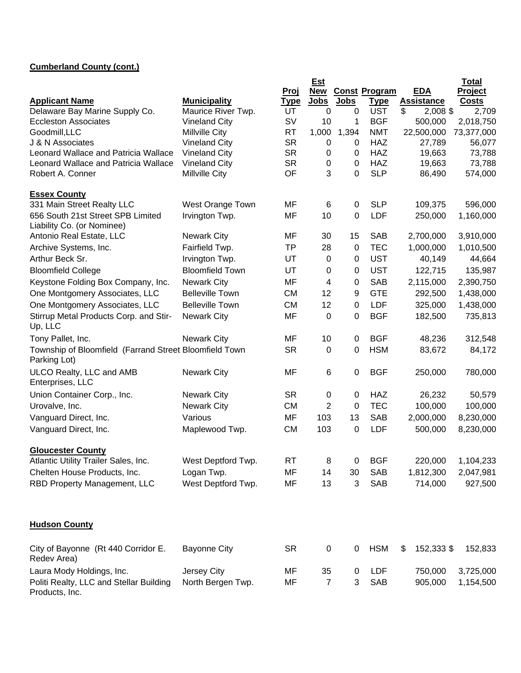## **Cumberland County (cont.)**

|                                                                        |                                        |             | <b>Est</b>     |             |                          |                       | <b>Total</b>            |
|------------------------------------------------------------------------|----------------------------------------|-------------|----------------|-------------|--------------------------|-----------------------|-------------------------|
|                                                                        |                                        | <u>Proj</u> | New            |             | <b>Const Program</b>     | <b>EDA</b>            | Project                 |
| <b>Applicant Name</b>                                                  | <b>Municipality</b>                    | <b>Type</b> | <b>Jobs</b>    | <b>Jobs</b> | <b>Type</b>              | <b>Assistance</b>     | <b>Costs</b>            |
| Delaware Bay Marine Supply Co.<br><b>Eccleston Associates</b>          | Maurice River Twp.                     | UT<br>SV    | 0              | 0           | <b>UST</b><br><b>BGF</b> | \$<br>2,008 \$        | 2,709                   |
| Goodmill, LLC                                                          | <b>Vineland City</b><br>Millville City | <b>RT</b>   | 10<br>1,000    | 1<br>1,394  | <b>NMT</b>               | 500,000<br>22,500,000 | 2,018,750<br>73,377,000 |
| J & N Associates                                                       | <b>Vineland City</b>                   | <b>SR</b>   | 0              | 0           | <b>HAZ</b>               | 27,789                | 56,077                  |
| Leonard Wallace and Patricia Wallace                                   | <b>Vineland City</b>                   | <b>SR</b>   | 0              | 0           | <b>HAZ</b>               | 19,663                | 73,788                  |
| <b>Leonard Wallace and Patricia Wallace</b>                            | <b>Vineland City</b>                   | <b>SR</b>   | 0              | 0           | <b>HAZ</b>               | 19,663                | 73,788                  |
| Robert A. Conner                                                       | Millville City                         | OF          | 3              | 0           | <b>SLP</b>               | 86,490                | 574,000                 |
| <b>Essex County</b>                                                    |                                        |             |                |             |                          |                       |                         |
| 331 Main Street Realty LLC                                             | West Orange Town                       | MF          | 6              | 0           | <b>SLP</b>               | 109,375               | 596,000                 |
| 656 South 21st Street SPB Limited<br>Liability Co. (or Nominee)        | Irvington Twp.                         | MF          | 10             | 0           | <b>LDF</b>               | 250,000               | 1,160,000               |
| Antonio Real Estate, LLC                                               | <b>Newark City</b>                     | MF          | 30             | 15          | <b>SAB</b>               | 2,700,000             | 3,910,000               |
| Archive Systems, Inc.                                                  | Fairfield Twp.                         | <b>TP</b>   | 28             | $\pmb{0}$   | <b>TEC</b>               | 1,000,000             | 1,010,500               |
| Arthur Beck Sr.                                                        | Irvington Twp.                         | UT          | 0              | 0           | <b>UST</b>               | 40,149                | 44,664                  |
| <b>Bloomfield College</b>                                              | <b>Bloomfield Town</b>                 | UT          | 0              | 0           | <b>UST</b>               | 122,715               | 135,987                 |
| Keystone Folding Box Company, Inc.                                     | <b>Newark City</b>                     | MF          | 4              | 0           | <b>SAB</b>               | 2,115,000             | 2,390,750               |
| One Montgomery Associates, LLC                                         | <b>Belleville Town</b>                 | <b>CM</b>   | 12             | 9           | <b>GTE</b>               | 292,500               | 1,438,000               |
| One Montgomery Associates, LLC                                         | <b>Belleville Town</b>                 | <b>CM</b>   | 12             | 0           | <b>LDF</b>               | 325,000               | 1,438,000               |
| Stirrup Metal Products Corp. and Stir-                                 | <b>Newark City</b>                     | MF          | 0              | 0           | <b>BGF</b>               | 182,500               | 735,813                 |
| Up, LLC                                                                |                                        |             |                |             |                          |                       |                         |
| Tony Pallet, Inc.                                                      | <b>Newark City</b>                     | MF          | 10             | 0           | <b>BGF</b>               | 48,236                | 312,548                 |
| Township of Bloomfield (Farrand Street Bloomfield Town<br>Parking Lot) |                                        | <b>SR</b>   | 0              | 0           | <b>HSM</b>               | 83,672                | 84,172                  |
| ULCO Realty, LLC and AMB<br>Enterprises, LLC                           | <b>Newark City</b>                     | MF          | 6              | 0           | <b>BGF</b>               | 250,000               | 780,000                 |
| Union Container Corp., Inc.                                            | <b>Newark City</b>                     | <b>SR</b>   | 0              | 0           | <b>HAZ</b>               | 26,232                | 50,579                  |
| Urovalve, Inc.                                                         | <b>Newark City</b>                     | <b>CM</b>   | 2              | 0           | <b>TEC</b>               | 100,000               | 100,000                 |
| Vanguard Direct, Inc.                                                  | Various                                | <b>MF</b>   | 103            | 13          | <b>SAB</b>               | 2,000,000             | 8,230,000               |
| Vanguard Direct, Inc.                                                  | Maplewood Twp.                         | <b>CM</b>   | 103            | 0           | <b>LDF</b>               | 500,000               | 8,230,000               |
| <b>Gloucester County</b>                                               |                                        |             |                |             |                          |                       |                         |
| Atlantic Utility Trailer Sales, Inc.                                   | West Deptford Twp.                     | RT          | 8              | 0           | <b>BGF</b>               | 220,000               | 1,104,233               |
| Chelten House Products, Inc.                                           | Logan Twp.                             | MF          | 14             | 30          | <b>SAB</b>               | 1,812,300             | 2,047,981               |
| RBD Property Management, LLC                                           | West Deptford Twp.                     | MF          | 13             | 3           | SAB                      | 714,000               | 927,500                 |
|                                                                        |                                        |             |                |             |                          |                       |                         |
| <b>Hudson County</b>                                                   |                                        |             |                |             |                          |                       |                         |
| City of Bayonne (Rt 440 Corridor E.<br>Redev Area)                     | <b>Bayonne City</b>                    | <b>SR</b>   | 0              | 0           | <b>HSM</b>               | 152,333 \$<br>\$      | 152,833                 |
| Laura Mody Holdings, Inc.                                              | Jersey City                            | MF          | 35             | 0           | LDF                      | 750,000               | 3,725,000               |
| Politi Realty, LLC and Stellar Building<br>Products, Inc.              | North Bergen Twp.                      | MF          | $\overline{7}$ | 3           | SAB                      | 905,000               | 1,154,500               |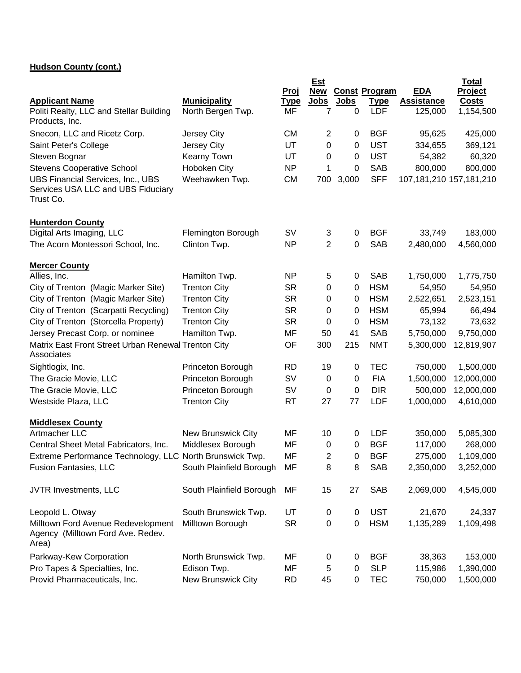## **Hudson County (cont.)**

|                                                                                             |                          | Proj        | <b>Est</b><br>New |             | <b>Const Program</b> | <b>EDA</b>              | <b>Total</b><br>Project |
|---------------------------------------------------------------------------------------------|--------------------------|-------------|-------------------|-------------|----------------------|-------------------------|-------------------------|
| <b>Applicant Name</b>                                                                       | <b>Municipality</b>      | <u>Type</u> | Jobs              | <u>Jobs</u> | <u>Type</u>          | <b>Assistance</b>       | <b>Costs</b>            |
| Politi Realty, LLC and Stellar Building<br>Products, Inc.                                   | North Bergen Twp.        | MF          | 7                 | 0           | <b>LDF</b>           | 125,000                 | 1,154,500               |
| Snecon, LLC and Ricetz Corp.                                                                | Jersey City              | <b>CM</b>   | $\overline{2}$    | 0           | <b>BGF</b>           | 95,625                  | 425,000                 |
| Saint Peter's College                                                                       | Jersey City              | UT          | 0                 | 0           | <b>UST</b>           | 334,655                 | 369,121                 |
| Steven Bognar                                                                               | Kearny Town              | UT          | 0                 | 0           | <b>UST</b>           | 54,382                  | 60,320                  |
| <b>Stevens Cooperative School</b>                                                           | Hoboken City             | <b>NP</b>   | 1                 | 0           | <b>SAB</b>           | 800,000                 | 800,000                 |
| <b>UBS Financial Services, Inc., UBS</b><br>Services USA LLC and UBS Fiduciary<br>Trust Co. | Weehawken Twp.           | <b>CM</b>   | 700               | 3,000       | <b>SFF</b>           | 107,181,210 157,181,210 |                         |
| <b>Hunterdon County</b>                                                                     |                          |             |                   |             |                      |                         |                         |
| Digital Arts Imaging, LLC                                                                   | Flemington Borough       | SV          | 3                 | 0           | <b>BGF</b>           | 33,749                  | 183,000                 |
| The Acorn Montessori School, Inc.                                                           | Clinton Twp.             | <b>NP</b>   | $\overline{2}$    | 0           | <b>SAB</b>           | 2,480,000               | 4,560,000               |
| <b>Mercer County</b>                                                                        |                          |             |                   |             |                      |                         |                         |
| Allies, Inc.                                                                                | Hamilton Twp.            | <b>NP</b>   | 5                 | 0           | <b>SAB</b>           | 1,750,000               | 1,775,750               |
| City of Trenton (Magic Marker Site)                                                         | <b>Trenton City</b>      | <b>SR</b>   | 0                 | 0           | <b>HSM</b>           | 54,950                  | 54,950                  |
| City of Trenton (Magic Marker Site)                                                         | <b>Trenton City</b>      | <b>SR</b>   | 0                 | 0           | <b>HSM</b>           | 2,522,651               | 2,523,151               |
| City of Trenton (Scarpatti Recycling)                                                       | <b>Trenton City</b>      | <b>SR</b>   | 0                 | 0           | <b>HSM</b>           | 65,994                  | 66,494                  |
| City of Trenton (Storcella Property)                                                        | <b>Trenton City</b>      | <b>SR</b>   | 0                 | 0           | <b>HSM</b>           | 73,132                  | 73,632                  |
| Jersey Precast Corp. or nominee                                                             | Hamilton Twp.            | MF          | 50                | 41          | <b>SAB</b>           | 5,750,000               | 9,750,000               |
| Matrix East Front Street Urban Renewal Trenton City<br>Associates                           |                          | OF          | 300               | 215         | <b>NMT</b>           | 5,300,000               | 12,819,907              |
| Sightlogix, Inc.                                                                            | Princeton Borough        | <b>RD</b>   | 19                | 0           | <b>TEC</b>           | 750,000                 | 1,500,000               |
| The Gracie Movie, LLC                                                                       | Princeton Borough        | SV          | 0                 | 0           | <b>FIA</b>           | 1,500,000               | 12,000,000              |
| The Gracie Movie, LLC                                                                       | Princeton Borough        | SV          | 0                 | 0           | <b>DIR</b>           | 500,000                 | 12,000,000              |
| Westside Plaza, LLC                                                                         | <b>Trenton City</b>      | <b>RT</b>   | 27                | 77          | <b>LDF</b>           | 1,000,000               | 4,610,000               |
| <b>Middlesex County</b>                                                                     |                          |             |                   |             |                      |                         |                         |
| Artmacher LLC                                                                               | New Brunswick City       | MF          | 10                | 0           | <b>LDF</b>           | 350,000                 | 5,085,300               |
| Central Sheet Metal Fabricators, Inc.                                                       | Middlesex Borough        | MF          | 0                 | 0           | <b>BGF</b>           | 117,000                 | 268,000                 |
| Extreme Performance Technology, LLC North Brunswick Twp.                                    |                          | MF          | $\overline{c}$    | 0           | <b>BGF</b>           | 275,000                 | 1,109,000               |
| <b>Fusion Fantasies, LLC</b>                                                                | South Plainfield Borough | MF          | 8                 | 8           | <b>SAB</b>           | 2,350,000               | 3,252,000               |
| JVTR Investments, LLC                                                                       | South Plainfield Borough | MF          | 15                | 27          | <b>SAB</b>           | 2,069,000               | 4,545,000               |
| Leopold L. Otway                                                                            | South Brunswick Twp.     | UT          | 0                 | 0           | <b>UST</b>           | 21,670                  | 24,337                  |
| Milltown Ford Avenue Redevelopment<br>Agency (Milltown Ford Ave. Redev.<br>Area)            | Milltown Borough         | <b>SR</b>   | 0                 | 0           | <b>HSM</b>           | 1,135,289               | 1,109,498               |
| Parkway-Kew Corporation                                                                     | North Brunswick Twp.     | MF          | 0                 | 0           | <b>BGF</b>           | 38,363                  | 153,000                 |
| Pro Tapes & Specialties, Inc.                                                               | Edison Twp.              | MF          | 5                 | 0           | <b>SLP</b>           | 115,986                 | 1,390,000               |
| Provid Pharmaceuticals, Inc.                                                                | New Brunswick City       | <b>RD</b>   | 45                | 0           | <b>TEC</b>           | 750,000                 | 1,500,000               |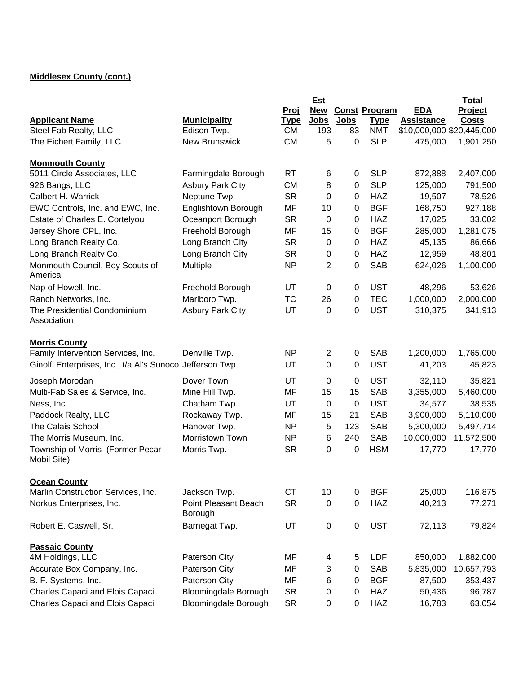## **Middlesex County (cont.)**

|                                                           |                             |             | <b>Est</b>     |             |                      |                           | <b>Total</b> |
|-----------------------------------------------------------|-----------------------------|-------------|----------------|-------------|----------------------|---------------------------|--------------|
|                                                           |                             | <u>Proj</u> | <b>New</b>     |             | <b>Const Program</b> | <b>EDA</b>                | Project      |
| <b>Applicant Name</b>                                     | <b>Municipality</b>         | <u>Type</u> | <b>Jobs</b>    | <b>Jobs</b> | <b>Type</b>          | <b>Assistance</b>         | <b>Costs</b> |
| Steel Fab Realty, LLC                                     | Edison Twp.                 | <b>CM</b>   | 193            | 83          | <b>NMT</b>           | \$10,000,000 \$20,445,000 |              |
| The Eichert Family, LLC                                   | <b>New Brunswick</b>        | <b>CM</b>   | 5              | 0           | <b>SLP</b>           | 475,000                   | 1,901,250    |
| <b>Monmouth County</b>                                    |                             |             |                |             |                      |                           |              |
| 5011 Circle Associates, LLC                               | Farmingdale Borough         | <b>RT</b>   | 6              | 0           | <b>SLP</b>           | 872,888                   | 2,407,000    |
| 926 Bangs, LLC                                            | <b>Asbury Park City</b>     | <b>CM</b>   | 8              | 0           | <b>SLP</b>           | 125,000                   | 791,500      |
| Calbert H. Warrick                                        | Neptune Twp.                | <b>SR</b>   | 0              | 0           | <b>HAZ</b>           | 19,507                    | 78,526       |
| EWC Controls, Inc. and EWC, Inc.                          | Englishtown Borough         | <b>MF</b>   | 10             | 0           | <b>BGF</b>           | 168,750                   | 927,188      |
| Estate of Charles E. Cortelyou                            | Oceanport Borough           | <b>SR</b>   | $\mathbf 0$    | 0           | <b>HAZ</b>           | 17,025                    | 33,002       |
| Jersey Shore CPL, Inc.                                    | Freehold Borough            | MF          | 15             | 0           | <b>BGF</b>           | 285,000                   | 1,281,075    |
| Long Branch Realty Co.                                    | Long Branch City            | <b>SR</b>   | 0              | 0           | <b>HAZ</b>           | 45,135                    | 86,666       |
| Long Branch Realty Co.                                    | Long Branch City            | <b>SR</b>   | 0              | 0           | <b>HAZ</b>           | 12,959                    | 48,801       |
| Monmouth Council, Boy Scouts of<br>America                | Multiple                    | <b>NP</b>   | 2              | 0           | <b>SAB</b>           | 624,026                   | 1,100,000    |
| Nap of Howell, Inc.                                       | Freehold Borough            | UT          | 0              | 0           | <b>UST</b>           | 48,296                    | 53,626       |
| Ranch Networks, Inc.                                      | Marlboro Twp.               | <b>TC</b>   | 26             | 0           | <b>TEC</b>           | 1,000,000                 | 2,000,000    |
| The Presidential Condominium                              | <b>Asbury Park City</b>     | UT          | $\mathbf 0$    | 0           | <b>UST</b>           | 310,375                   | 341,913      |
| Association                                               |                             |             |                |             |                      |                           |              |
| <b>Morris County</b>                                      |                             |             |                |             |                      |                           |              |
| Family Intervention Services, Inc.                        | Denville Twp.               | <b>NP</b>   | $\overline{2}$ | 0           | <b>SAB</b>           | 1,200,000                 | 1,765,000    |
| Ginolfi Enterprises, Inc., t/a Al's Sunoco Jefferson Twp. |                             | UT          | $\Omega$       | 0           | <b>UST</b>           | 41,203                    | 45,823       |
| Joseph Morodan                                            | Dover Town                  | UT          | 0              | 0           | <b>UST</b>           | 32,110                    | 35,821       |
| Multi-Fab Sales & Service, Inc.                           | Mine Hill Twp.              | MF          | 15             | 15          | <b>SAB</b>           | 3,355,000                 | 5,460,000    |
| Ness, Inc.                                                | Chatham Twp.                | UT          | 0              | 0           | <b>UST</b>           | 34,577                    | 38,535       |
| Paddock Realty, LLC                                       | Rockaway Twp.               | MF          | 15             | 21          | <b>SAB</b>           | 3,900,000                 | 5,110,000    |
| <b>The Calais School</b>                                  | Hanover Twp.                | <b>NP</b>   | $\overline{5}$ | 123         | <b>SAB</b>           | 5,300,000                 | 5,497,714    |
| The Morris Museum, Inc.                                   | Morristown Town             | NP          | 6              | 240         | <b>SAB</b>           | 10,000,000                | 11,572,500   |
| Township of Morris (Former Pecar<br>Mobil Site)           | Morris Twp.                 | <b>SR</b>   | $\mathbf 0$    | 0           | <b>HSM</b>           | 17,770                    | 17,770       |
|                                                           |                             |             |                |             |                      |                           |              |
| <b>Ocean County</b><br>Marlin Construction Services, Inc. | Jackson Twp.                | <b>CT</b>   | 10             | $\pmb{0}$   | <b>BGF</b>           | 25,000                    | 116,875      |
| Norkus Enterprises, Inc.                                  | Point Pleasant Beach        | <b>SR</b>   | $\mathbf 0$    | $\pmb{0}$   | <b>HAZ</b>           | 40,213                    | 77,271       |
|                                                           | Borough                     |             |                |             |                      |                           |              |
| Robert E. Caswell, Sr.                                    | Barnegat Twp.               | UT          | $\pmb{0}$      | $\pmb{0}$   | <b>UST</b>           | 72,113                    | 79,824       |
| <b>Passaic County</b>                                     |                             |             |                |             |                      |                           |              |
| 4M Holdings, LLC                                          | Paterson City               | MF          | 4              | 5           | LDF                  | 850,000                   | 1,882,000    |
| Accurate Box Company, Inc.                                | Paterson City               | MF          | 3              | $\pmb{0}$   | <b>SAB</b>           | 5,835,000                 | 10,657,793   |
| B. F. Systems, Inc.                                       | Paterson City               | MF          | 6              | 0           | <b>BGF</b>           | 87,500                    | 353,437      |
| Charles Capaci and Elois Capaci                           | <b>Bloomingdale Borough</b> | <b>SR</b>   | 0              | $\pmb{0}$   | <b>HAZ</b>           | 50,436                    | 96,787       |
| Charles Capaci and Elois Capaci                           | Bloomingdale Borough        | <b>SR</b>   | $\mathbf 0$    | $\pmb{0}$   | <b>HAZ</b>           | 16,783                    | 63,054       |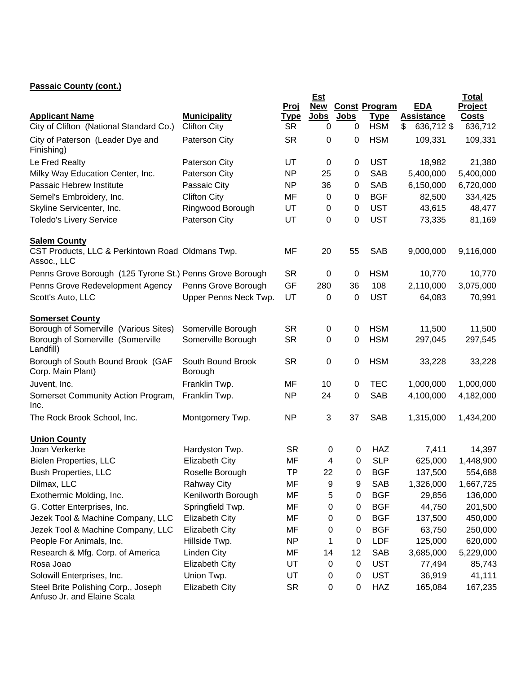## **Passaic County (cont.)**

|                                                                            |                                            |                          | Est              |                  |                           |                                       | <b>Total</b>            |
|----------------------------------------------------------------------------|--------------------------------------------|--------------------------|------------------|------------------|---------------------------|---------------------------------------|-------------------------|
|                                                                            |                                            | <u>Proj</u>              |                  |                  | <b>New Const Program</b>  | <b>EDA</b>                            | Project                 |
| <b>Applicant Name</b><br>City of Clifton (National Standard Co.)           | <b>Municipality</b><br><b>Clifton City</b> | <u>Type</u><br><b>SR</b> | <b>Jobs</b><br>0 | <b>Jobs</b><br>0 | <b>Type</b><br><b>HSM</b> | <b>Assistance</b><br>636,712 \$<br>\$ | <b>Costs</b><br>636,712 |
|                                                                            |                                            |                          |                  |                  |                           |                                       |                         |
| City of Paterson (Leader Dye and<br>Finishing)                             | Paterson City                              | <b>SR</b>                | 0                | 0                | <b>HSM</b>                | 109,331                               | 109,331                 |
| Le Fred Realty                                                             | Paterson City                              | UT                       | 0                | 0                | <b>UST</b>                | 18,982                                | 21,380                  |
| Milky Way Education Center, Inc.                                           | Paterson City                              | <b>NP</b>                | 25               | 0                | <b>SAB</b>                | 5,400,000                             | 5,400,000               |
| Passaic Hebrew Institute                                                   | Passaic City                               | <b>NP</b>                | 36               | 0                | <b>SAB</b>                | 6,150,000                             | 6,720,000               |
| Semel's Embroidery, Inc.                                                   | <b>Clifton City</b>                        | MF                       | 0                | 0                | <b>BGF</b>                | 82,500                                | 334,425                 |
| Skyline Servicenter, Inc.                                                  | Ringwood Borough                           | UT                       | 0                | 0                | <b>UST</b>                | 43,615                                | 48,477                  |
| <b>Toledo's Livery Service</b>                                             | Paterson City                              | UT                       | 0                | $\pmb{0}$        | <b>UST</b>                | 73,335                                | 81,169                  |
| <b>Salem County</b>                                                        |                                            |                          |                  |                  |                           |                                       |                         |
| CST Products, LLC & Perkintown Road Oldmans Twp.<br>Assoc., LLC            |                                            | MF                       | 20               | 55               | <b>SAB</b>                | 9,000,000                             | 9,116,000               |
| Penns Grove Borough (125 Tyrone St.) Penns Grove Borough                   |                                            | <b>SR</b>                | 0                | 0                | <b>HSM</b>                | 10,770                                | 10,770                  |
| Penns Grove Redevelopment Agency                                           | Penns Grove Borough                        | GF                       | 280              | 36               | 108                       | 2,110,000                             | 3,075,000               |
| Scott's Auto, LLC                                                          | Upper Penns Neck Twp.                      | UT                       | 0                | 0                | <b>UST</b>                | 64,083                                | 70,991                  |
| <b>Somerset County</b>                                                     |                                            |                          |                  |                  |                           |                                       |                         |
| Borough of Somerville (Various Sites)<br>Borough of Somerville (Somerville | Somerville Borough<br>Somerville Borough   | <b>SR</b><br><b>SR</b>   | 0<br>0           | 0<br>0           | <b>HSM</b><br><b>HSM</b>  | 11,500<br>297,045                     | 11,500<br>297,545       |
| Landfill)                                                                  |                                            |                          |                  |                  |                           |                                       |                         |
| Borough of South Bound Brook (GAF<br>Corp. Main Plant)                     | South Bound Brook<br>Borough               | <b>SR</b>                | $\mathbf 0$      | 0                | <b>HSM</b>                | 33,228                                | 33,228                  |
| Juvent, Inc.                                                               | Franklin Twp.                              | MF                       | 10               | 0                | <b>TEC</b>                | 1,000,000                             | 1,000,000               |
| Somerset Community Action Program,<br>Inc.                                 | Franklin Twp.                              | <b>NP</b>                | 24               | 0                | <b>SAB</b>                | 4,100,000                             | 4,182,000               |
| The Rock Brook School, Inc.                                                | Montgomery Twp.                            | <b>NP</b>                | 3                | 37               | <b>SAB</b>                | 1,315,000                             | 1,434,200               |
| <b>Union County</b>                                                        |                                            |                          |                  |                  |                           |                                       |                         |
| Joan Verkerke                                                              | Hardyston Twp.                             | <b>SR</b>                | 0                | 0                | <b>HAZ</b>                | 7,411                                 | 14,397                  |
| Bielen Properties, LLC                                                     | <b>Elizabeth City</b>                      | MF                       | 4                | 0                | <b>SLP</b>                | 625,000                               | 1,448,900               |
| <b>Bush Properties, LLC</b>                                                | Roselle Borough                            | <b>TP</b>                | 22               | 0                | <b>BGF</b>                | 137,500                               | 554,688                 |
| Dilmax, LLC                                                                | <b>Rahway City</b>                         | MF                       | 9                | 9                | SAB                       | 1,326,000                             | 1,667,725               |
| Exothermic Molding, Inc.                                                   | Kenilworth Borough                         | MF                       | 5                | 0                | <b>BGF</b>                | 29,856                                | 136,000                 |
| G. Cotter Enterprises, Inc.                                                | Springfield Twp.                           | MF                       | 0                | 0                | <b>BGF</b>                | 44,750                                | 201,500                 |
| Jezek Tool & Machine Company, LLC                                          | <b>Elizabeth City</b>                      | MF                       | 0                | 0                | <b>BGF</b>                | 137,500                               | 450,000                 |
| Jezek Tool & Machine Company, LLC                                          | <b>Elizabeth City</b>                      | MF                       | 0                | 0                | <b>BGF</b>                | 63,750                                | 250,000                 |
| People For Animals, Inc.                                                   | Hillside Twp.                              | <b>NP</b>                | 1                | 0                | LDF                       | 125,000                               | 620,000                 |
| Research & Mfg. Corp. of America                                           | Linden City                                | MF                       | 14               | 12               | SAB                       | 3,685,000                             | 5,229,000               |
| Rosa Joao                                                                  | Elizabeth City                             | UT                       | 0                | 0                | <b>UST</b>                | 77,494                                | 85,743                  |
| Solowill Enterprises, Inc.                                                 | Union Twp.                                 | UT                       | 0                | 0                | <b>UST</b>                | 36,919                                | 41,111                  |
| Steel Brite Polishing Corp., Joseph<br>Anfuso Jr. and Elaine Scala         | <b>Elizabeth City</b>                      | <b>SR</b>                | 0                | 0                | <b>HAZ</b>                | 165,084                               | 167,235                 |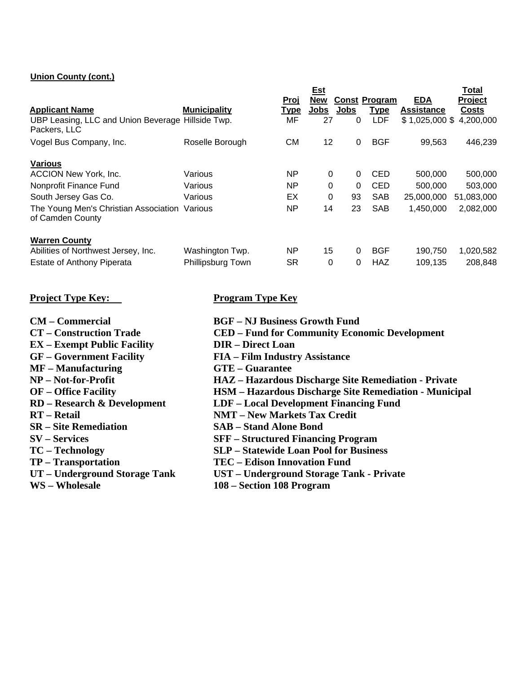#### **Union County (cont.)**

|                                                                   |                     |             | <b>Est</b>  |          |                      |                   | <b>Total</b>   |
|-------------------------------------------------------------------|---------------------|-------------|-------------|----------|----------------------|-------------------|----------------|
|                                                                   |                     | Proj        | <b>New</b>  |          | <b>Const Program</b> | <b>EDA</b>        | <b>Project</b> |
| <b>Applicant Name</b>                                             | <b>Municipality</b> | <u>Type</u> | <b>Jobs</b> | Jobs     | <u>Type</u>          | <b>Assistance</b> | <b>Costs</b>   |
| UBP Leasing, LLC and Union Beverage Hillside Twp.<br>Packers, LLC |                     | MF          | 27          | 0        | <b>LDF</b>           | $$1,025,000$ \$   | 4,200,000      |
| Vogel Bus Company, Inc.                                           | Roselle Borough     | СM          | 12          | 0        | <b>BGF</b>           | 99,563            | 446,239        |
| <b>Various</b>                                                    |                     |             |             |          |                      |                   |                |
| <b>ACCION New York, Inc.</b>                                      | Various             | <b>NP</b>   | 0           | 0        | <b>CED</b>           | 500,000           | 500,000        |
| Nonprofit Finance Fund                                            | Various             | <b>NP</b>   | $\Omega$    | $\Omega$ | <b>CED</b>           | 500,000           | 503,000        |
| South Jersey Gas Co.                                              | Various             | EX          | 0           | 93       | <b>SAB</b>           | 25,000,000        | 51,083,000     |
| The Young Men's Christian Association<br>of Camden County         | Various             | <b>NP</b>   | 14          | 23       | <b>SAB</b>           | 1,450,000         | 2,082,000      |
| <b>Warren County</b>                                              |                     |             |             |          |                      |                   |                |
| Abilities of Northwest Jersey, Inc.                               | Washington Twp.     | <b>NP</b>   | 15          | $\Omega$ | <b>BGF</b>           | 190,750           | 1,020,582      |
| <b>Estate of Anthony Piperata</b>                                 | Phillipsburg Town   | <b>SR</b>   | 0           | 0        | <b>HAZ</b>           | 109,135           | 208,848        |

### **Project Type Key:** Program Type Key

- **CM Commercial BGF NJ Business Growth Fund**
- 
- **EX** Exempt Public Facility **DIR** Direct Loan **GF** Government Facility **FIA** Film Industr
- 
- **MF Manufacturing GTE Guarantee**
- 
- 
- 
- 
- 
- 
- 
- 
- 
- 
- 
- **CT Construction Trade CED Fund for Community Economic Development** 
	-
	- FIA Film Industry Assistance
	-
- **NP Not-for-Profit HAZ Hazardous Discharge Site Remediation Private**
- **OF Office Facility HSM Hazardous Discharge Site Remediation Municipal**
- **RD Research & Development LDF Local Development Financing Fund**
- **RT Retail NMT New Markets Tax Credit**
- **SR Site Remediation SAB Stand Alone Bond**
- **SV Services SFF Structured Financing Program**
- **TC Technology SLP Statewide Loan Pool for Business** 
	-
- **TP Transportation**<br> **TEC Edison Innovation Fund<br>
UT Underground Storage Tank<br>
UST Underground Storage Tank UST – Underground Storage Tank - Private**
- **WS Wholesale 108 Section 108 Program**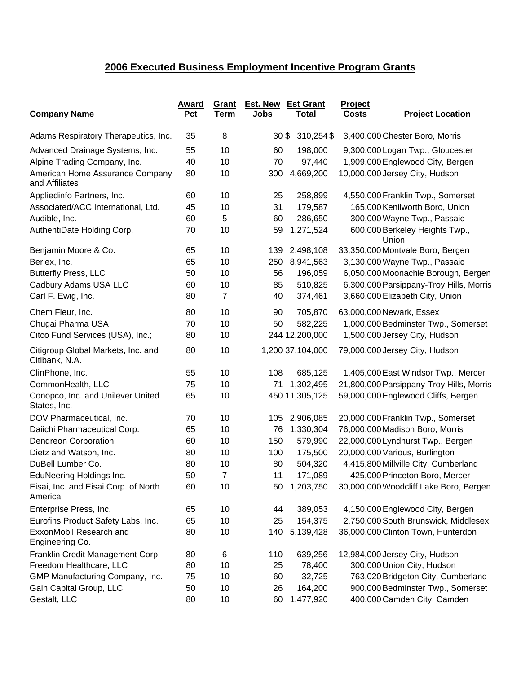# **2006 Executed Business Employment Incentive Program Grants**

| <b>Company Name</b>                                  | Award<br>Pct | Grant<br><u>Term</u> | Est. New<br><u>Jobs</u> | <b>Est Grant</b><br><u>Total</u> | Project<br><b>Costs</b> | <b>Project Location</b>                  |
|------------------------------------------------------|--------------|----------------------|-------------------------|----------------------------------|-------------------------|------------------------------------------|
| Adams Respiratory Therapeutics, Inc.                 | 35           | 8                    | 30 <sup>6</sup>         | 310,254\$                        |                         | 3,400,000 Chester Boro, Morris           |
| Advanced Drainage Systems, Inc.                      | 55           | 10                   | 60                      | 198,000                          |                         | 9,300,000 Logan Twp., Gloucester         |
| Alpine Trading Company, Inc.                         | 40           | 10                   | 70                      | 97,440                           |                         | 1,909,000 Englewood City, Bergen         |
| American Home Assurance Company<br>and Affiliates    | 80           | 10                   | 300                     | 4,669,200                        |                         | 10,000,000 Jersey City, Hudson           |
| Appliedinfo Partners, Inc.                           | 60           | 10                   | 25                      | 258,899                          |                         | 4,550,000 Franklin Twp., Somerset        |
| Associated/ACC International, Ltd.                   | 45           | 10                   | 31                      | 179,587                          |                         | 165,000 Kenilworth Boro, Union           |
| Audible, Inc.                                        | 60           | 5                    | 60                      | 286,650                          |                         | 300,000 Wayne Twp., Passaic              |
| AuthentiDate Holding Corp.                           | 70           | 10                   | 59                      | 1,271,524                        |                         | 600,000 Berkeley Heights Twp.,<br>Union  |
| Benjamin Moore & Co.                                 | 65           | 10                   | 139                     | 2,498,108                        |                         | 33,350,000 Montvale Boro, Bergen         |
| Berlex, Inc.                                         | 65           | 10                   | 250                     | 8,941,563                        |                         | 3,130,000 Wayne Twp., Passaic            |
| <b>Butterfly Press, LLC</b>                          | 50           | 10                   | 56                      | 196,059                          |                         | 6,050,000 Moonachie Borough, Bergen      |
| Cadbury Adams USA LLC                                | 60           | 10                   | 85                      | 510,825                          |                         | 6,300,000 Parsippany-Troy Hills, Morris  |
| Carl F. Ewig, Inc.                                   | 80           | $\overline{7}$       | 40                      | 374,461                          |                         | 3,660,000 Elizabeth City, Union          |
| Chem Fleur, Inc.                                     | 80           | 10                   | 90                      | 705,870                          |                         | 63,000,000 Newark, Essex                 |
| Chugai Pharma USA                                    | 70           | 10                   | 50                      | 582,225                          |                         | 1,000,000 Bedminster Twp., Somerset      |
| Citco Fund Services (USA), Inc.;                     | 80           | 10                   |                         | 244 12,200,000                   |                         | 1,500,000 Jersey City, Hudson            |
| Citigroup Global Markets, Inc. and<br>Citibank, N.A. | 80           | 10                   |                         | 1,200 37,104,000                 |                         | 79,000,000 Jersey City, Hudson           |
| ClinPhone, Inc.                                      | 55           | 10                   | 108                     | 685,125                          |                         | 1,405,000 East Windsor Twp., Mercer      |
| CommonHealth, LLC                                    | 75           | 10                   | 71                      | 1,302,495                        |                         | 21,800,000 Parsippany-Troy Hills, Morris |
| Conopco, Inc. and Unilever United<br>States, Inc.    | 65           | 10                   |                         | 450 11,305,125                   |                         | 59,000,000 Englewood Cliffs, Bergen      |
| DOV Pharmaceutical, Inc.                             | 70           | 10                   | 105                     | 2,906,085                        |                         | 20,000,000 Franklin Twp., Somerset       |
| Daiichi Pharmaceutical Corp.                         | 65           | 10                   | 76                      | 1,330,304                        |                         | 76,000,000 Madison Boro, Morris          |
| <b>Dendreon Corporation</b>                          | 60           | 10                   | 150                     | 579,990                          |                         | 22,000,000 Lyndhurst Twp., Bergen        |
| Dietz and Watson, Inc.                               | 80           | 10                   | 100                     | 175,500                          |                         | 20,000,000 Various, Burlington           |
| DuBell Lumber Co.                                    | 80           | 10                   | 80                      | 504,320                          |                         | 4,415,800 Millville City, Cumberland     |
| <b>EduNeering Holdings Inc.</b>                      | 50           | 7                    | 11                      | 171,089                          |                         | 425,000 Princeton Boro, Mercer           |
| Eisai, Inc. and Eisai Corp. of North<br>America      | 60           | 10                   | 50                      | 1,203,750                        |                         | 30,000,000 Woodcliff Lake Boro, Bergen   |
| Enterprise Press, Inc.                               | 65           | 10                   | 44                      | 389,053                          |                         | 4,150,000 Englewood City, Bergen         |
| Eurofins Product Safety Labs, Inc.                   | 65           | 10                   | 25                      | 154,375                          |                         | 2,750,000 South Brunswick, Middlesex     |
| ExxonMobil Research and<br>Engineering Co.           | 80           | 10                   | 140                     | 5,139,428                        |                         | 36,000,000 Clinton Town, Hunterdon       |
| Franklin Credit Management Corp.                     | 80           | 6                    | 110                     | 639,256                          |                         | 12,984,000 Jersey City, Hudson           |
| Freedom Healthcare, LLC                              | 80           | 10                   | 25                      | 78,400                           |                         | 300,000 Union City, Hudson               |
| GMP Manufacturing Company, Inc.                      | 75           | 10                   | 60                      | 32,725                           |                         | 763,020 Bridgeton City, Cumberland       |
| Gain Capital Group, LLC                              | 50           | 10                   | 26                      | 164,200                          |                         | 900,000 Bedminster Twp., Somerset        |
| Gestalt, LLC                                         | 80           | 10                   | 60                      | 1,477,920                        |                         | 400,000 Camden City, Camden              |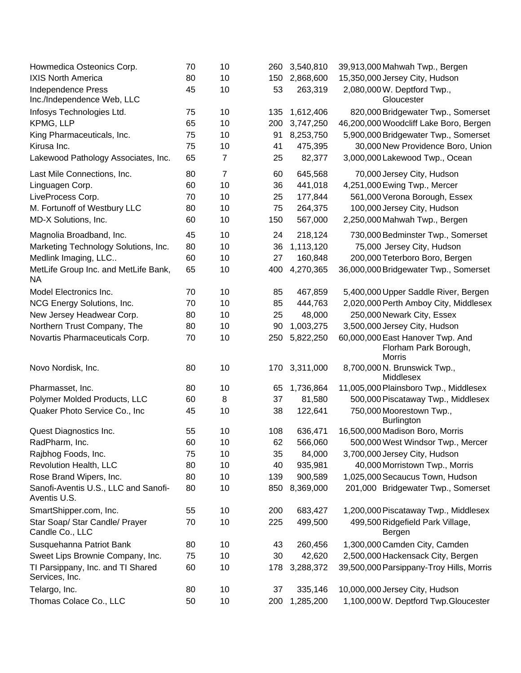| Howmedica Osteonics Corp.                               | 70 | 10 | 260 | 3,540,810 | 39,913,000 Mahwah Twp., Bergen                                             |
|---------------------------------------------------------|----|----|-----|-----------|----------------------------------------------------------------------------|
| <b>IXIS North America</b>                               | 80 | 10 | 150 | 2,868,600 | 15,350,000 Jersey City, Hudson                                             |
| <b>Independence Press</b><br>Inc./Independence Web, LLC | 45 | 10 | 53  | 263,319   | 2,080,000 W. Deptford Twp.,<br>Gloucester                                  |
| Infosys Technologies Ltd.                               | 75 | 10 | 135 | 1,612,406 | 820,000 Bridgewater Twp., Somerset                                         |
| KPMG, LLP                                               | 65 | 10 | 200 | 3,747,250 | 46,200,000 Woodcliff Lake Boro, Bergen                                     |
| King Pharmaceuticals, Inc.                              | 75 | 10 | 91  | 8,253,750 | 5,900,000 Bridgewater Twp., Somerset                                       |
| Kirusa Inc.                                             | 75 | 10 | 41  | 475,395   | 30,000 New Providence Boro, Union                                          |
| Lakewood Pathology Associates, Inc.                     | 65 | 7  | 25  | 82,377    | 3,000,000 Lakewood Twp., Ocean                                             |
| Last Mile Connections, Inc.                             | 80 | 7  | 60  | 645,568   | 70,000 Jersey City, Hudson                                                 |
| Linguagen Corp.                                         | 60 | 10 | 36  | 441,018   | 4,251,000 Ewing Twp., Mercer                                               |
| LiveProcess Corp.                                       | 70 | 10 | 25  | 177,844   | 561,000 Verona Borough, Essex                                              |
| M. Fortunoff of Westbury LLC                            | 80 | 10 | 75  | 264,375   | 100,000 Jersey City, Hudson                                                |
| MD-X Solutions, Inc.                                    | 60 | 10 | 150 | 567,000   | 2,250,000 Mahwah Twp., Bergen                                              |
| Magnolia Broadband, Inc.                                | 45 | 10 | 24  | 218,124   | 730,000 Bedminster Twp., Somerset                                          |
| Marketing Technology Solutions, Inc.                    | 80 | 10 | 36  | 1,113,120 | 75,000 Jersey City, Hudson                                                 |
| Medlink Imaging, LLC                                    | 60 | 10 | 27  | 160,848   | 200,000 Teterboro Boro, Bergen                                             |
| MetLife Group Inc. and MetLife Bank,<br>NA.             | 65 | 10 | 400 | 4,270,365 | 36,000,000 Bridgewater Twp., Somerset                                      |
| Model Electronics Inc.                                  | 70 | 10 | 85  | 467,859   | 5,400,000 Upper Saddle River, Bergen                                       |
| NCG Energy Solutions, Inc.                              | 70 | 10 | 85  | 444,763   | 2,020,000 Perth Amboy City, Middlesex                                      |
| New Jersey Headwear Corp.                               | 80 | 10 | 25  | 48,000    | 250,000 Newark City, Essex                                                 |
| Northern Trust Company, The                             | 80 | 10 | 90  | 1,003,275 | 3,500,000 Jersey City, Hudson                                              |
| Novartis Pharmaceuticals Corp.                          | 70 | 10 | 250 | 5,822,250 | 60,000,000 East Hanover Twp. And<br>Florham Park Borough,<br><b>Morris</b> |
| Novo Nordisk, Inc.                                      | 80 | 10 | 170 | 3,311,000 | 8,700,000 N. Brunswick Twp.,<br>Middlesex                                  |
| Pharmasset, Inc.                                        | 80 | 10 | 65  | 1,736,864 | 11,005,000 Plainsboro Twp., Middlesex                                      |
| Polymer Molded Products, LLC                            | 60 | 8  | 37  | 81,580    | 500,000 Piscataway Twp., Middlesex                                         |
| Quaker Photo Service Co., Inc                           | 45 | 10 | 38  | 122,641   | 750,000 Moorestown Twp.,<br><b>Burlington</b>                              |
| Quest Diagnostics Inc.                                  | 55 | 10 | 108 | 636,471   | 16,500,000 Madison Boro, Morris                                            |
| RadPharm, Inc.                                          | 60 | 10 | 62  | 566,060   | 500,000 West Windsor Twp., Mercer                                          |
| Rajbhog Foods, Inc.                                     | 75 | 10 | 35  | 84,000    | 3,700,000 Jersey City, Hudson                                              |
| Revolution Health, LLC                                  | 80 | 10 | 40  | 935,981   | 40,000 Morristown Twp., Morris                                             |
| Rose Brand Wipers, Inc.                                 | 80 | 10 | 139 | 900,589   | 1,025,000 Secaucus Town, Hudson                                            |
| Sanofi-Aventis U.S., LLC and Sanofi-<br>Aventis U.S.    | 80 | 10 | 850 | 8,369,000 | 201,000 Bridgewater Twp., Somerset                                         |
| SmartShipper.com, Inc.                                  | 55 | 10 | 200 | 683,427   | 1,200,000 Piscataway Twp., Middlesex                                       |
| Star Soap/ Star Candle/ Prayer<br>Candle Co., LLC       | 70 | 10 | 225 | 499,500   | 499,500 Ridgefield Park Village,<br>Bergen                                 |
| Susquehanna Patriot Bank                                | 80 | 10 | 43  | 260,456   | 1,300,000 Camden City, Camden                                              |
| Sweet Lips Brownie Company, Inc.                        | 75 | 10 | 30  | 42,620    | 2,500,000 Hackensack City, Bergen                                          |
| TI Parsippany, Inc. and TI Shared<br>Services, Inc.     | 60 | 10 | 178 | 3,288,372 | 39,500,000 Parsippany-Troy Hills, Morris                                   |
| Telargo, Inc.                                           | 80 | 10 | 37  | 335,146   | 10,000,000 Jersey City, Hudson                                             |
| Thomas Colace Co., LLC                                  | 50 | 10 | 200 | 1,285,200 | 1,100,000 W. Deptford Twp.Gloucester                                       |
|                                                         |    |    |     |           |                                                                            |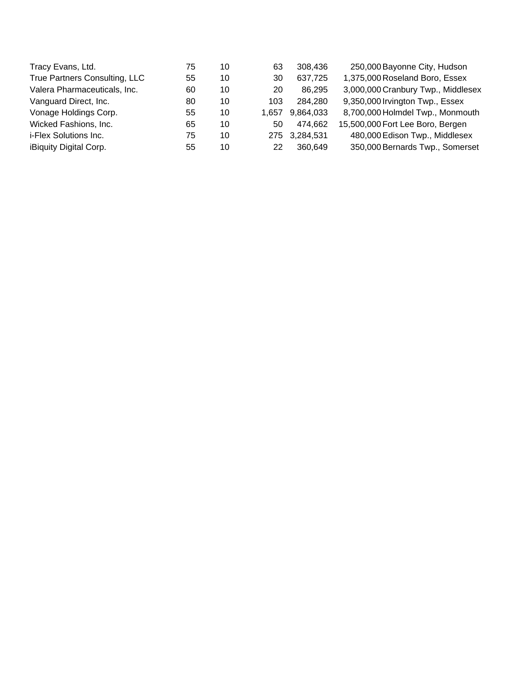| Tracy Evans, Ltd.             | 75 | 10 | 63    | 308.436       | 250,000 Bayonne City, Hudson       |
|-------------------------------|----|----|-------|---------------|------------------------------------|
| True Partners Consulting, LLC | 55 | 10 | 30    | 637,725       | 1,375,000 Roseland Boro, Essex     |
| Valera Pharmaceuticals, Inc.  | 60 | 10 | 20    | 86,295        | 3,000,000 Cranbury Twp., Middlesex |
| Vanguard Direct, Inc.         | 80 | 10 | 103   | 284,280       | 9,350,000 Irvington Twp., Essex    |
| Vonage Holdings Corp.         | 55 | 10 | 1.657 | 9,864,033     | 8,700,000 Holmdel Twp., Monmouth   |
| Wicked Fashions, Inc.         | 65 | 10 | 50    | 474,662       | 15,500,000 Fort Lee Boro, Bergen   |
| i-Flex Solutions Inc.         | 75 | 10 |       | 275 3,284,531 | 480,000 Edison Twp., Middlesex     |
| iBiquity Digital Corp.        | 55 | 10 | 22    | 360,649       | 350,000 Bernards Twp., Somerset    |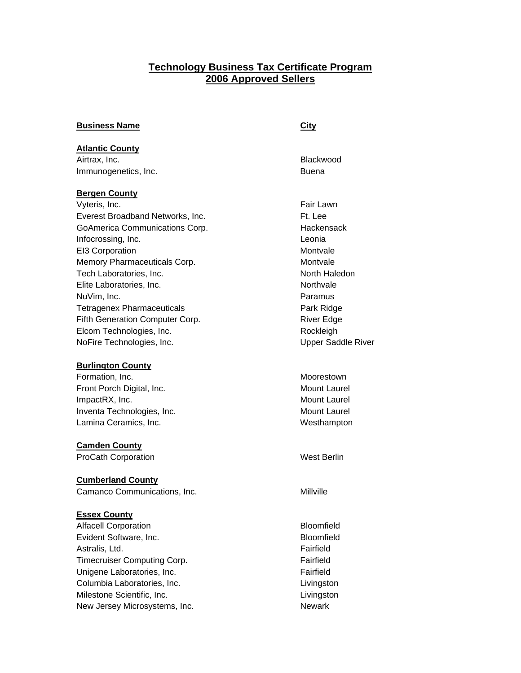## **Technology Business Tax Certificate Program 2006 Approved Sellers**

| <b>Business Name</b> | City |
|----------------------|------|
|                      |      |

### **Atlantic County**

Airtrax, Inc. **Blackwood** Immunogenetics, Inc. **Buena** Buena

#### **Bergen County**

Vyteris, Inc. **Fair Lawn** Everest Broadband Networks, Inc. The Contract of the Et. Lee GoAmerica Communications Corp. The Contract Hackensack Infocrossing, Inc. **Leonia** EI3 Corporation **Montvale** Memory Pharmaceuticals Corp. **Montrale** Montvale Tech Laboratories, Inc. North Haledon Elite Laboratories, Inc. Northvale NuVim, Inc. **Paramus** Tetragenex Pharmaceuticals **Park Ridge** Park Ridge Fifth Generation Computer Corp. The River Edge Elcom Technologies, Inc. **Rockleigh** Rockleigh NoFire Technologies, Inc. The Contract of the Upper Saddle River

#### **Burlington County**

Formation, Inc. **Moorestown** Front Porch Digital, Inc. The Contract of the Mount Laurel ImpactRX, Inc. **Mount Laurel** Mount Laurel Inventa Technologies, Inc. **Mount Laurel** Mount Laurel Lamina Ceramics, Inc. **Westhampton** 

#### **Camden County**

ProCath Corporation Nest Berlin

#### **Cumberland County**

Camanco Communications, Inc. **Milly** Camanco Communications, Inc.

#### **Essex County**

Alfacell Corporation and all the Bloomfield Evident Software, Inc. **Bloomfield** Astralis, Ltd. **Fairfield** Timecruiser Computing Corp. **Fairfield** Solution Construction of Tairfield **Fairfield** Unigene Laboratories, Inc. **Fairfield** Solution of Tairfield Fairfield Columbia Laboratories, Inc. **Lightnannia** Livingston Milestone Scientific, Inc. **Lightness** Extends the Livingston New Jersey Microsystems, Inc. Newark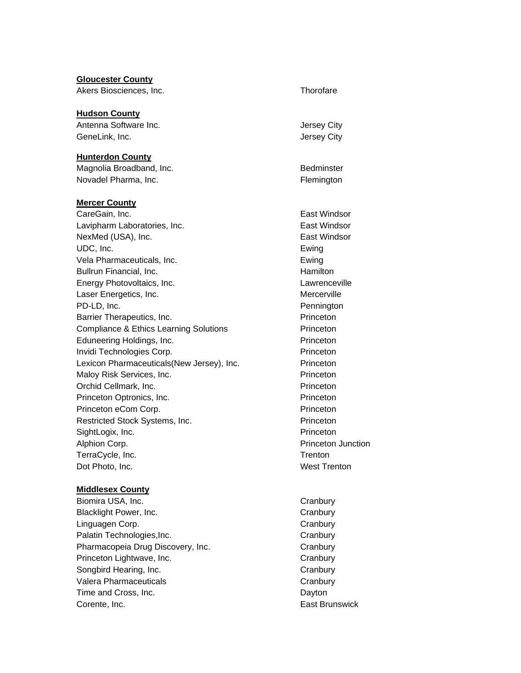| <b>Gloucester County</b><br>Akers Biosciences, Inc. | Thorofare           |
|-----------------------------------------------------|---------------------|
| <b>Hudson County</b>                                |                     |
| Antenna Software Inc.                               | Jersey City         |
| GeneLink, Inc.                                      | Jersey City         |
| <b>Hunterdon County</b>                             |                     |
| Magnolia Broadband, Inc.                            | Bedminster          |
| Novadel Pharma, Inc.                                | Flemington          |
| <b>Mercer County</b>                                |                     |
| CareGain, Inc.                                      | East Windsor        |
| Lavipharm Laboratories, Inc.                        | East Windsor        |
| NexMed (USA), Inc.                                  | East Windsor        |
| UDC, Inc.                                           | Ewing               |
| Vela Pharmaceuticals, Inc.                          | Ewing               |
| Bullrun Financial, Inc.                             | Hamilton            |
| Energy Photovoltaics, Inc.                          | Lawrenceville       |
| Laser Energetics, Inc.                              | Mercerville         |
| PD-LD, Inc.                                         | Pennington          |
| Barrier Therapeutics, Inc.                          | Princeton           |
| <b>Compliance &amp; Ethics Learning Solutions</b>   | Princeton           |
| Eduneering Holdings, Inc.                           | Princeton           |
| Invidi Technologies Corp.                           | Princeton           |
| Lexicon Pharmaceuticals(New Jersey), Inc.           | Princeton           |
| Maloy Risk Services, Inc.                           | Princeton           |
| Orchid Cellmark, Inc.                               | Princeton           |
| Princeton Optronics, Inc.                           | Princeton           |
| Princeton eCom Corp.                                | Princeton           |
| Restricted Stock Systems, Inc.                      | Princeton           |
| SightLogix, Inc.                                    | Princeton           |
| Alphion Corp.                                       | Princeton Junction  |
| TerraCycle, Inc.                                    | Trenton             |
| Dot Photo, Inc.                                     | <b>West Trenton</b> |
| <b>Middlesex County</b>                             |                     |

Biomira USA, Inc. **Canadian Cranbury Cranbury** Blacklight Power, Inc. **Canadiates Cranbury** Cranbury Linguagen Corp. **Canadiates** Cranbury Cranbury Palatin Technologies, Inc. The Contract of the Cranbury Cranbury Pharmacopeia Drug Discovery, Inc. **Example 20 Set Arms** Cranbury Princeton Lightwave, Inc. **Canadiates** Cranbury Songbird Hearing, Inc. **Canadian Cranbury** Cranbury Valera Pharmaceuticals **Cranbury** Cranbury Time and Cross, Inc. **Dayton** Corente, Inc. **East Brunswick**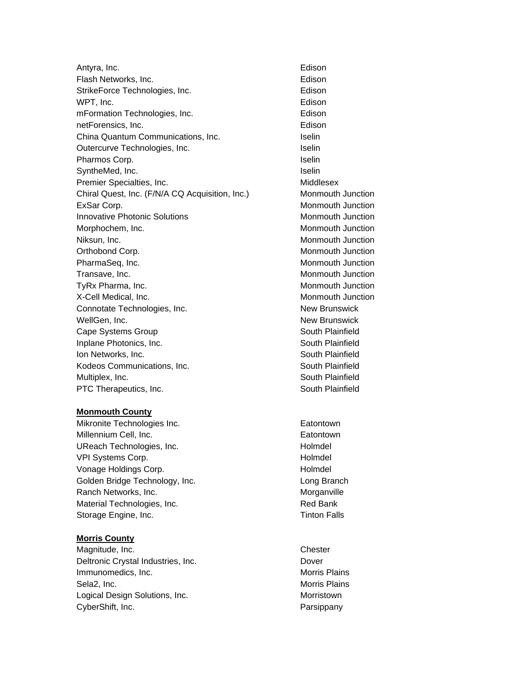Antyra, Inc. **Edison** Flash Networks, Inc. **Edison** Edison StrikeForce Technologies, Inc. **Edison** WPT, Inc. **Edison** mFormation Technologies, Inc. **Edison** netForensics, Inc. **Edison** China Quantum Communications, Inc. **Inc.** Iselin Outercurve Technologies, Inc. **Inc.** Iselin Pharmos Corp. **In the Corp.** Iselin SyntheMed, Inc. **Inc.** Iselin Premier Specialties, Inc. The Contract of the Middlesex Chiral Quest, Inc. (F/N/A CQ Acquisition, Inc.) Monmouth Junction ExSar Corp. **Montage Corp. ExSar Corp. Montage Corp. Montage Corp. Montage Corp. Montage Corp. Montage Corp. Montage Corp. Montage Corp. Montage Corp. Montage Corp. Montage Corp. Montage Corp. Mon Innovative Photonic Solutions Monmouth Junction** Morphochem, Inc. **Montage Commouth Commouth Junction** Niksun, Inc. **Montagalactic Contract Contract Contract Contract Contract Contract Contract Contract Contract Contract Contract Contract Contract Contract Contract Contract Contract Contract Contract Contract Contract Contr** Orthobond Corp. The Corp of the Corp. The Corp of the Monmouth Junction PharmaSeq, Inc. **Montage Contract Contract Contract Contract Contract Contract Contract Contract Contract Contract Contract Contract Contract Contract Contract Contract Contract Contract Contract Contract Contract Contract** Transave, Inc. Monmouth Junction and Monmouth Junction TyRx Pharma, Inc. **Montain Commouth Commouth Junction** Monmouth Junction X-Cell Medical, Inc. Monmouth Junction Connotate Technologies, Inc. New Brunswick WellGen, Inc. **New Brunswick** Cape Systems Group South Plainfield Inplane Photonics, Inc. **South Plainfield Ion Networks, Inc.** South Plainfield Kodeos Communications, Inc. **South Plainfield** South Plainfield Multiplex, Inc. **South Plainfield** South Plainfield

#### **Monmouth County**

Mikronite Technologies Inc. **Example 19** Eatontown Millennium Cell, Inc. **Eatontown** UReach Technologies, Inc. Notified the extent of the Holmdel VPI Systems Corp. **And Community** VPI Systems Corp. Vonage Holdings Corp. The Contract of the Holmdel Golden Bridge Technology, Inc. **Example 20 Figure 2018** Long Branch Ranch Networks, Inc. **Morganville** Material Technologies, Inc. The Contract of the Red Bank Storage Engine, Inc. **Times** Storage Engine, Inc.

#### **Morris County**

Magnitude, Inc. **Chester** Chester Deltronic Crystal Industries, Inc. **Deltronic Crystal Industries**, Inc. Immunomedics, Inc. **Morris Plains** Morris Plains Sela2, Inc. **Morris Plains** Logical Design Solutions, Inc. **Morristown** CyberShift, Inc. **Parsippany** 

PTC Therapeutics, Inc. South Plainfield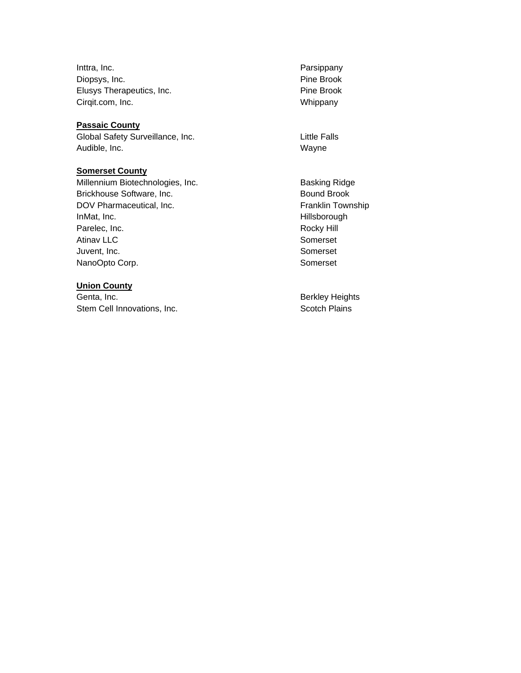Inttra, Inc. **Parsippany** Diopsys, Inc. **Pine Brook** Elusys Therapeutics, Inc. **Pine Brook** Pine Brook Cirqit.com, Inc. Whippany

#### **Passaic County**

Global Safety Surveillance, Inc. **Example 20 and Safety Surveillance**, Inc. Audible, Inc. **Wayne** 

#### **Somerset County**

Millennium Biotechnologies, Inc. **Basking Ridge** Brickhouse Software, Inc. **Bound Brook** Bound Brook DOV Pharmaceutical, Inc. The Contract of the Franklin Township InMat, Inc. **And The Contract of the Contract of The Contract of The Hillsborough** Parelec, Inc. **Rocky Hill** Atinav LLC Somerset Juvent, Inc. **Somerset** NanoOpto Corp. **Somerset** 

### **Union County**

Genta, Inc. **Berkley Heights** Berkley Heights Stem Cell Innovations, Inc. Scotch Plains